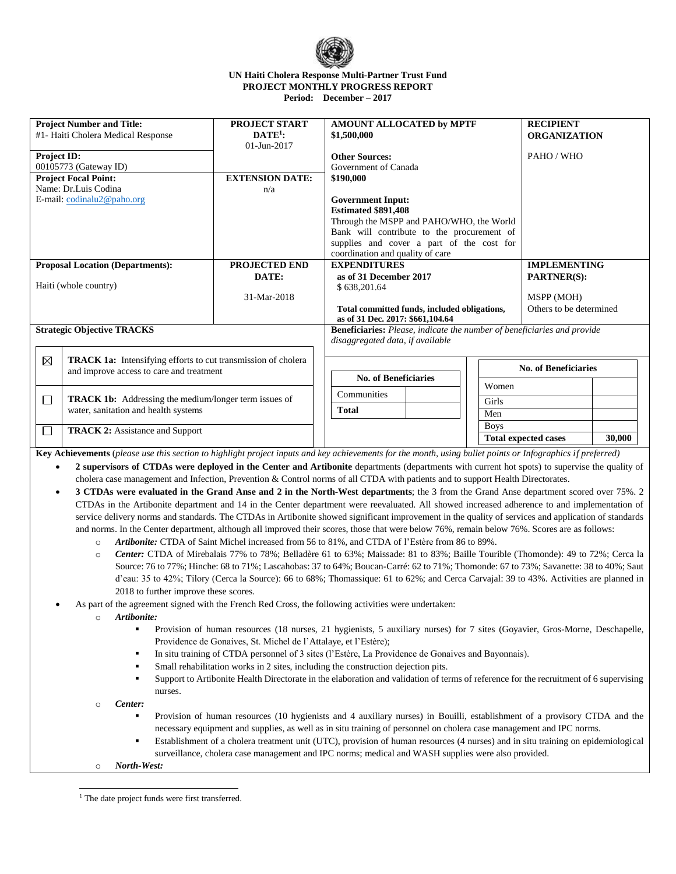

## **UN Haiti Cholera Response Multi-Partner Trust Fund PROJECT MONTHLY PROGRESS REPORT Period: December – 2017**

| <b>Project Number and Title:</b><br>#1- Haiti Cholera Medical Response    |                                                                                                      | <b>PROJECT START</b><br>$\mathbf{DATA}^{1}$ :<br>$01 - Jun - 2017$ | <b>AMOUNT ALLOCATED by MPTF</b><br>\$1,500,000                                   |                             | <b>RECIPIENT</b><br><b>ORGANIZATION</b> |  |  |
|---------------------------------------------------------------------------|------------------------------------------------------------------------------------------------------|--------------------------------------------------------------------|----------------------------------------------------------------------------------|-----------------------------|-----------------------------------------|--|--|
| <b>Project ID:</b><br>00105773 (Gateway ID)                               |                                                                                                      |                                                                    | <b>Other Sources:</b><br>Government of Canada                                    |                             | PAHO / WHO                              |  |  |
| <b>Project Focal Point:</b>                                               |                                                                                                      | <b>EXTENSION DATE:</b>                                             | \$190,000                                                                        |                             |                                         |  |  |
| Name: Dr.Luis Codina                                                      |                                                                                                      | n/a                                                                | <b>Government Input:</b>                                                         |                             |                                         |  |  |
| E-mail: $codinalu2@paho.org$                                              |                                                                                                      |                                                                    | <b>Estimated \$891,408</b>                                                       |                             |                                         |  |  |
|                                                                           |                                                                                                      |                                                                    | Through the MSPP and PAHO/WHO, the World                                         |                             |                                         |  |  |
|                                                                           |                                                                                                      |                                                                    | Bank will contribute to the procurement of                                       |                             |                                         |  |  |
|                                                                           |                                                                                                      |                                                                    | supplies and cover a part of the cost for                                        |                             |                                         |  |  |
|                                                                           |                                                                                                      |                                                                    | coordination and quality of care                                                 |                             |                                         |  |  |
| <b>Proposal Location (Departments):</b>                                   |                                                                                                      | PROJECTED END                                                      | <b>EXPENDITURES</b>                                                              | <b>IMPLEMENTING</b>         |                                         |  |  |
|                                                                           |                                                                                                      | DATE:                                                              | as of 31 December 2017                                                           | <b>PARTNER(S):</b>          |                                         |  |  |
| Haiti (whole country)                                                     |                                                                                                      |                                                                    | \$638,201.64                                                                     |                             |                                         |  |  |
|                                                                           |                                                                                                      | 31-Mar-2018                                                        |                                                                                  | MSPP (MOH)                  |                                         |  |  |
|                                                                           |                                                                                                      |                                                                    | Total committed funds, included obligations,<br>as of 31 Dec. 2017: \$661,104.64 |                             | Others to be determined                 |  |  |
| <b>Strategic Objective TRACKS</b>                                         |                                                                                                      |                                                                    | Beneficiaries: Please, indicate the number of beneficiaries and provide          |                             |                                         |  |  |
|                                                                           |                                                                                                      |                                                                    | disaggregated data, if available                                                 |                             |                                         |  |  |
| ⊠<br><b>TRACK 1a:</b> Intensifying efforts to cut transmission of cholera |                                                                                                      |                                                                    |                                                                                  | <b>No. of Beneficiaries</b> |                                         |  |  |
|                                                                           | and improve access to care and treatment                                                             |                                                                    | <b>No. of Beneficiaries</b>                                                      |                             |                                         |  |  |
|                                                                           |                                                                                                      | Women<br>Communities                                               |                                                                                  |                             |                                         |  |  |
| П                                                                         | <b>TRACK 1b:</b> Addressing the medium/longer term issues of<br>water, sanitation and health systems |                                                                    | <b>Total</b>                                                                     | Girls<br>Men                |                                         |  |  |
|                                                                           |                                                                                                      |                                                                    | <b>Boys</b>                                                                      |                             |                                         |  |  |
| $\Box$<br><b>TRACK 2:</b> Assistance and Support                          |                                                                                                      |                                                                    | <b>Total expected cases</b>                                                      |                             | 30,000                                  |  |  |
|                                                                           |                                                                                                      |                                                                    |                                                                                  |                             |                                         |  |  |

**Key Achievements** (*please use this section to highlight project inputs and key achievements for the month, using bullet points or Infographics if preferred)*

- **2 supervisors of CTDAs were deployed in the Center and Artibonite** departments (departments with current hot spots) to supervise the quality of cholera case management and Infection, Prevention & Control norms of all CTDA with patients and to support Health Directorates.
- **3 CTDAs were evaluated in the Grand Anse and 2 in the North-West departments**; the 3 from the Grand Anse department scored over 75%. 2 CTDAs in the Artibonite department and 14 in the Center department were reevaluated. All showed increased adherence to and implementation of service delivery norms and standards. The CTDAs in Artibonite showed significant improvement in the quality of services and application of standards and norms. In the Center department, although all improved their scores, those that were below 76%, remain below 76%. Scores are as follows:
	- o *Artibonite:* CTDA of Saint Michel increased from 56 to 81%, and CTDA of l'Estère from 86 to 89%.
	- o *Center:* CTDA of Mirebalais 77% to 78%; Belladère 61 to 63%; Maissade: 81 to 83%; Baille Tourible (Thomonde): 49 to 72%; Cerca la Source: 76 to 77%; Hinche: 68 to 71%; Lascahobas: 37 to 64%; Boucan-Carré: 62 to 71%; Thomonde: 67 to 73%; Savanette: 38 to 40%; Saut d'eau: 35 to 42%; Tilory (Cerca la Source): 66 to 68%; Thomassique: 61 to 62%; and Cerca Carvajal: 39 to 43%. Activities are planned in 2018 to further improve these scores.
- As part of the agreement signed with the French Red Cross, the following activities were undertaken:
	- o *Artibonite:*
		- Provision of human resources (18 nurses, 21 hygienists, 5 auxiliary nurses) for 7 sites (Goyavier, Gros-Morne, Deschapelle, Providence de Gonaives, St. Michel de l'Attalaye, et l'Estère);
		- In situ training of CTDA personnel of 3 sites (l'Estère, La Providence de Gonaives and Bayonnais).
		- Small rehabilitation works in 2 sites, including the construction dejection pits.
		- Support to Artibonite Health Directorate in the elaboration and validation of terms of reference for the recruitment of 6 supervising nurses.
	- o *Center:*
		- Provision of human resources (10 hygienists and 4 auxiliary nurses) in Bouilli, establishment of a provisory CTDA and the necessary equipment and supplies, as well as in situ training of personnel on cholera case management and IPC norms.
		- Establishment of a cholera treatment unit (UTC), provision of human resources (4 nurses) and in situ training on epidemiological surveillance, cholera case management and IPC norms; medical and WASH supplies were also provided.
	- o *North-West:*

j <sup>1</sup> The date project funds were first transferred.